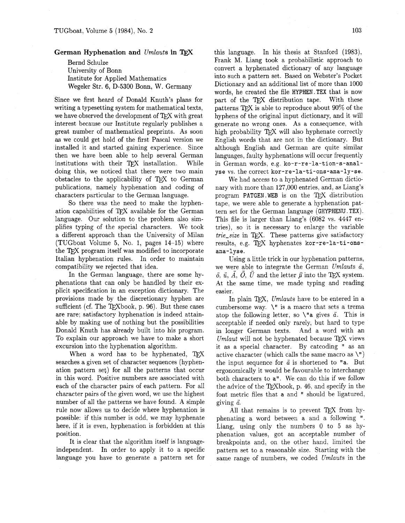## **German Hyphenation and** Umlauts **in** TEX

Bernd Schulze University of Bonn Institute for Applied Mathematics Wegeler Str. 6, D-5300 Bonn, W. Germany

Since we first heard of Donald Knuth's plans for writing a typesetting system for mathematical texts, we have observed the development of TFX with great interest because our Institute regularly publishes a great number of mathematical preprints. As soon **as** we could get hold of the first Pascal version we installed it and started gaining experience. Since then we have been able to help several German institutions with their TEX installation. While doing this, we noticed that there were two main obstacles to the applicability of TEX to German publications, namely hyphenation and coding of characters particular to the German language.

So there was the need to make the hyphenation capabilities of TEX available for the German language. Our solution to the problem also simplifies typing of the special characters. We took a different approach than the University of Milan (TUGboat Volume 5, No. 1, pages 14-15) where the TFX program itself was modified to incorporate Italian hyphenation rules. In order to maintain compatibility we rejected that idea.

In the German language, there are some hyphenations that can only be handled by their explicit specification in an exception dictionary. The provisions made by the discretionary hyphen are sufficient (cf. The T $FX$ book, p. 96). But these cases are rare; satisfactory hyphenation is indeed attainable by making use of nothing but the possibilities Donald Knuth has already built into his program. To explain our approach we have to make a short excursion into the hyphenation algorithm.

When a word has to be hyphenated, TFX searches a given set of character sequences (hyphenation pattern set) for all the patterns that occur in this word. Positive numbers are associated with each of the character pairs of each pattern. For all character pairs of the given word, we use the highest number of all the patterns we have found. A simple rule now allows us to decide where hyphenation is possible: if this number is odd, we may hyphenate here, if it is even, hyphenation is forbidden at this position.

It is clear that the algorithm itself is languageindependent. In order to apply it to a specific language you have to generate a pattern set for this language. In his thesis at Stanford (1983), Frank M. Liang took a probabilistic approach to convert a hyphenated dictionary of any language into such a pattern set. Based on Webster's Pocket Dictionary and an additional list of more than 1000 words, he created the file HYPHEN.TEX that is now part of the TFX distribution tape. With these patterns  $TrX$  is able to reproduce about  $90\%$  of the hyphens of the original input dictionary, and it will generate no wrong ones. As a consequence, with high probability TFX will also hyphenate correctly English words that are not in the dictionary. But although English and German are quite similar languages, faulty hyphenations will occur frequently in German words, e.g. **ko-r-re-la-tion-s-analyse** vs. the correct kor-re-la-ti-ons-ana-ly-se.

We had access to a hyphenated German dictionary with more than 127,000 entries, and, as Liang's program PATGEN. WEB is on the  $T_F X$  distribution tape, we were able to generate a hyphenation pattern set for the German language (GHYPHENU. TEX). This file is larger than Liang's (6082 vs. 4447 entries), so it is necessary to enlarge the variable  $trie\_size$  in TFX. These patterns give satisfactory results, e.g. TFX hyphenates kor-re-la-ti-ons**ana-lyse.** 

Using a little trick in our hyphenation patterns, we were able to integrate the German Umlauts  $\ddot{a}$ ,  $\ddot{o}$ ,  $\ddot{u}$ ,  $\ddot{A}$ ,  $\ddot{O}$ ,  $\ddot{U}$  and the letter  $\beta$  into the TFX system. At the same time, we made typing and reading easier.

In plain TFX, Umlauts have to be entered in a cumbersome way.  $\lambda$ <sup>*n*</sup> is a macro that sets a trema atop the following letter, so  $\vee$  a gives  $\ddot{a}$ . This is acceptable if needed only rarely, but hard to type in longer German texts. And a word with an Umlaut will not be hyphenated because  $T_F X$  views it as a special character. By catcoding " as an active character (which calls the same macro as  $\langle$ ") the input sequence for  $\ddot{a}$  is shortened to "a. But ergonomically it would be favourable to interchange both characters to **a".** We can do this if we follow the advice of the TEX book, p. 46, and specify in the font metric files that **a** and **I'** should be ligatured, giving  $\ddot{a}$ .

All that remains is to prevent  $T_F X$  from hyphenating a word between **a** and a following **".**  Liang, using only the numbers 0 to 5 as hyphenation values, got an acceptable number of breakpoints and, on the other hand, limited the pattern set to a reasonable size. Starting with the same range of numbers, we coded Umlauts in the